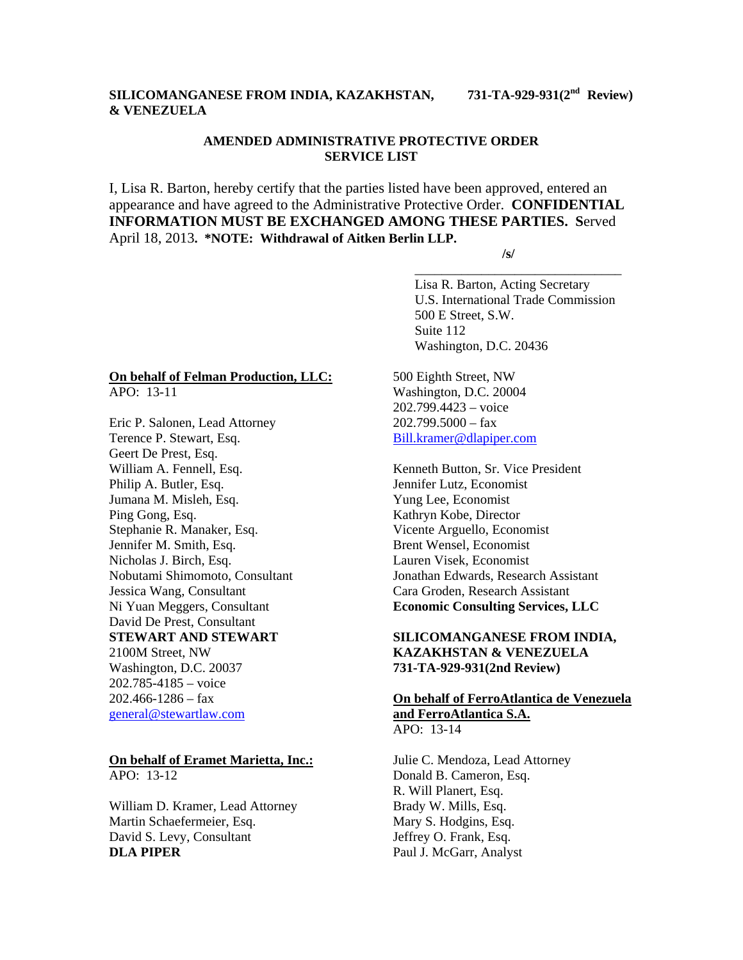# **SILICOMANGANESE FROM INDIA, KAZAKHSTAN, 731-TA-929-931(2nd Review) & VENEZUELA**

# **AMENDED ADMINISTRATIVE PROTECTIVE ORDER SERVICE LIST**

I, Lisa R. Barton, hereby certify that the parties listed have been approved, entered an appearance and have agreed to the Administrative Protective Order. **CONFIDENTIAL INFORMATION MUST BE EXCHANGED AMONG THESE PARTIES. S**erved April 18, 2013**. \*NOTE: Withdrawal of Aitken Berlin LLP. /s/** 

 $\overline{\phantom{a}}$  , and the contract of the contract of the contract of the contract of the contract of the contract of the contract of the contract of the contract of the contract of the contract of the contract of the contrac

 Lisa R. Barton, Acting Secretary U.S. International Trade Commission 500 E Street, S.W. Suite 112 Washington, D.C. 20436

### **On behalf of Felman Production, LLC:** APO: 13-11

Eric P. Salonen, Lead Attorney Terence P. Stewart, Esq. Geert De Prest, Esq. William A. Fennell, Esq. Philip A. Butler, Esq. Jumana M. Misleh, Esq. Ping Gong, Esq. Stephanie R. Manaker, Esq. Jennifer M. Smith, Esq. Nicholas J. Birch, Esq. Nobutami Shimomoto, Consultant Jessica Wang, Consultant Ni Yuan Meggers, Consultant David De Prest, Consultant **STEWART AND STEWART**  2100M Street, NW Washington, D.C. 20037 202.785-4185 – voice  $202.466 - 1286 - fax$ general@stewartlaw.com

### **On behalf of Eramet Marietta, Inc.:** APO: 13-12

William D. Kramer, Lead Attorney Martin Schaefermeier, Esq. David S. Levy, Consultant **DLA PIPER** 

500 Eighth Street, NW Washington, D.C. 20004 202.799.4423 – voice  $202.799.5000 - fax$ Bill.kramer@dlapiper.com

Kenneth Button, Sr. Vice President Jennifer Lutz, Economist Yung Lee, Economist Kathryn Kobe, Director Vicente Arguello, Economist Brent Wensel, Economist Lauren Visek, Economist Jonathan Edwards, Research Assistant Cara Groden, Research Assistant **Economic Consulting Services, LLC** 

## **SILICOMANGANESE FROM INDIA, KAZAKHSTAN & VENEZUELA 731-TA-929-931(2nd Review)**

# **On behalf of FerroAtlantica de Venezuela and FerroAtlantica S.A.**  APO: 13-14

Julie C. Mendoza, Lead Attorney Donald B. Cameron, Esq. R. Will Planert, Esq. Brady W. Mills, Esq. Mary S. Hodgins, Esq. Jeffrey O. Frank, Esq. Paul J. McGarr, Analyst